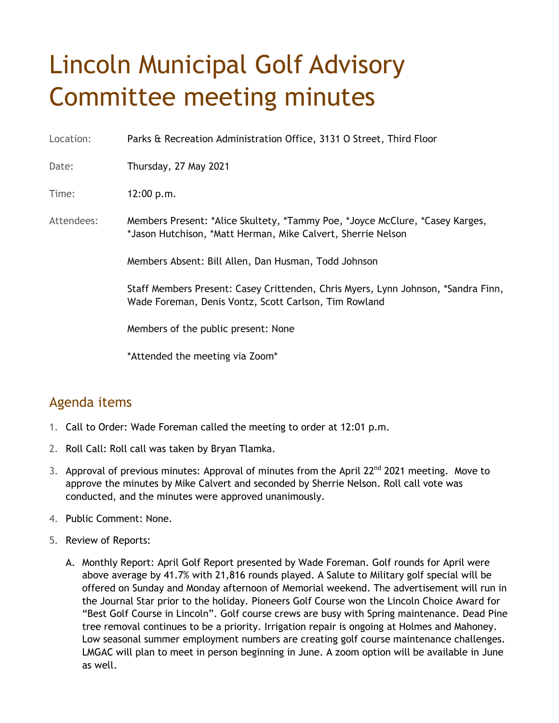## Lincoln Municipal Golf Advisory Committee meeting minutes

Location: Parks & Recreation Administration Office, 3131 O Street, Third Floor

Date: Thursday, 27 May 2021

Time: 12:00 p.m.

Attendees: Members Present: \*Alice Skultety, \*Tammy Poe, \*Joyce McClure, \*Casey Karges, \*Jason Hutchison, \*Matt Herman, Mike Calvert, Sherrie Nelson

Members Absent: Bill Allen, Dan Husman, Todd Johnson

Staff Members Present: Casey Crittenden, Chris Myers, Lynn Johnson, \*Sandra Finn, Wade Foreman, Denis Vontz, Scott Carlson, Tim Rowland

Members of the public present: None

\*Attended the meeting via Zoom\*

## Agenda items

- 1. Call to Order: Wade Foreman called the meeting to order at 12:01 p.m.
- 2. Roll Call: Roll call was taken by Bryan Tlamka.
- 3. Approval of previous minutes: Approval of minutes from the April 22<sup>nd</sup> 2021 meeting. Move to approve the minutes by Mike Calvert and seconded by Sherrie Nelson. Roll call vote was conducted, and the minutes were approved unanimously.
- 4. Public Comment: None.
- 5. Review of Reports:
	- A. Monthly Report: April Golf Report presented by Wade Foreman. Golf rounds for April were above average by 41.7% with 21,816 rounds played. A Salute to Military golf special will be offered on Sunday and Monday afternoon of Memorial weekend. The advertisement will run in the Journal Star prior to the holiday. Pioneers Golf Course won the Lincoln Choice Award for "Best Golf Course in Lincoln". Golf course crews are busy with Spring maintenance. Dead Pine tree removal continues to be a priority. Irrigation repair is ongoing at Holmes and Mahoney. Low seasonal summer employment numbers are creating golf course maintenance challenges. LMGAC will plan to meet in person beginning in June. A zoom option will be available in June as well.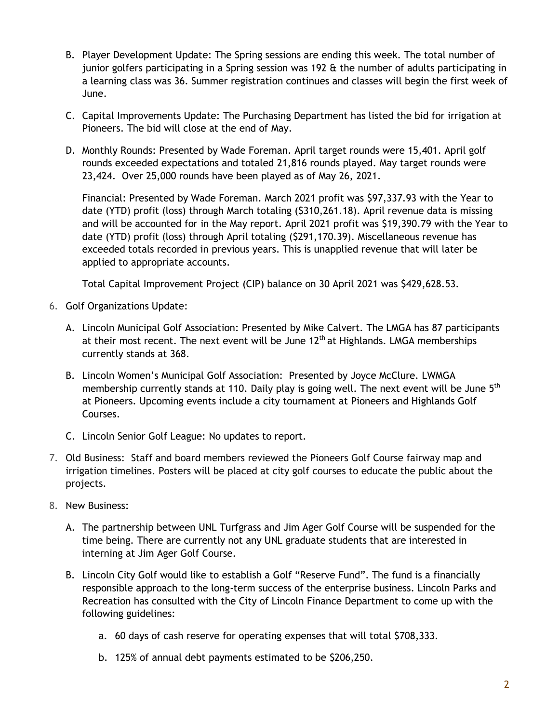- B. Player Development Update: The Spring sessions are ending this week. The total number of junior golfers participating in a Spring session was 192 & the number of adults participating in a learning class was 36. Summer registration continues and classes will begin the first week of June.
- C. Capital Improvements Update: The Purchasing Department has listed the bid for irrigation at Pioneers. The bid will close at the end of May.
- D. Monthly Rounds: Presented by Wade Foreman. April target rounds were 15,401. April golf rounds exceeded expectations and totaled 21,816 rounds played. May target rounds were 23,424. Over 25,000 rounds have been played as of May 26, 2021.

Financial: Presented by Wade Foreman. March 2021 profit was \$97,337.93 with the Year to date (YTD) profit (loss) through March totaling (\$310,261.18). April revenue data is missing and will be accounted for in the May report. April 2021 profit was \$19,390.79 with the Year to date (YTD) profit (loss) through April totaling (\$291,170.39). Miscellaneous revenue has exceeded totals recorded in previous years. This is unapplied revenue that will later be applied to appropriate accounts.

Total Capital Improvement Project (CIP) balance on 30 April 2021 was \$429,628.53.

- 6. Golf Organizations Update:
	- A. Lincoln Municipal Golf Association: Presented by Mike Calvert. The LMGA has 87 participants at their most recent. The next event will be June  $12<sup>th</sup>$  at Highlands. LMGA memberships currently stands at 368.
	- B. Lincoln Women's Municipal Golf Association: Presented by Joyce McClure. LWMGA membership currently stands at 110. Daily play is going well. The next event will be June  $5<sup>th</sup>$ at Pioneers. Upcoming events include a city tournament at Pioneers and Highlands Golf Courses.
	- C. Lincoln Senior Golf League: No updates to report.
- 7. Old Business: Staff and board members reviewed the Pioneers Golf Course fairway map and irrigation timelines. Posters will be placed at city golf courses to educate the public about the projects.
- 8. New Business:
	- A. The partnership between UNL Turfgrass and Jim Ager Golf Course will be suspended for the time being. There are currently not any UNL graduate students that are interested in interning at Jim Ager Golf Course.
	- B. Lincoln City Golf would like to establish a Golf "Reserve Fund". The fund is a financially responsible approach to the long-term success of the enterprise business. Lincoln Parks and Recreation has consulted with the City of Lincoln Finance Department to come up with the following guidelines:
		- a. 60 days of cash reserve for operating expenses that will total \$708,333.
		- b. 125% of annual debt payments estimated to be \$206,250.